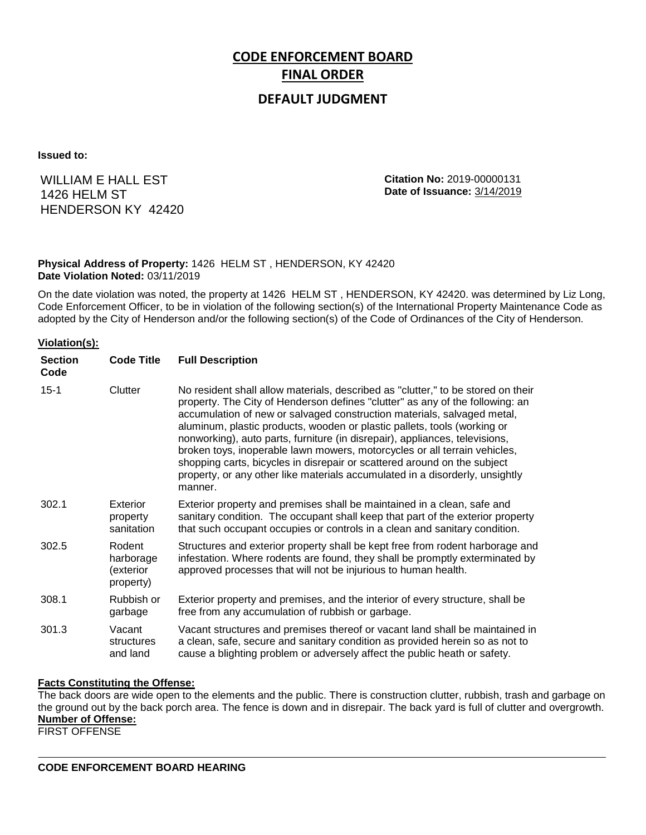# **CODE ENFORCEMENT BOARD FINAL ORDER**

# **DEFAULT JUDGMENT**

**Issued to:**

WILLIAM E HALL EST 1426 HELM ST HENDERSON KY 42420 **Citation No:** 2019-00000131 **Date of Issuance:** 3/14/2019

## **Physical Address of Property:** 1426 HELM ST , HENDERSON, KY 42420 **Date Violation Noted:** 03/11/2019

On the date violation was noted, the property at 1426 HELM ST , HENDERSON, KY 42420. was determined by Liz Long, Code Enforcement Officer, to be in violation of the following section(s) of the International Property Maintenance Code as adopted by the City of Henderson and/or the following section(s) of the Code of Ordinances of the City of Henderson.

### **Violation(s):**

| <b>Section</b><br>Code | <b>Code Title</b>                             | <b>Full Description</b>                                                                                                                                                                                                                                                                                                                                                                                                                                                                                                                                                                                                                                     |
|------------------------|-----------------------------------------------|-------------------------------------------------------------------------------------------------------------------------------------------------------------------------------------------------------------------------------------------------------------------------------------------------------------------------------------------------------------------------------------------------------------------------------------------------------------------------------------------------------------------------------------------------------------------------------------------------------------------------------------------------------------|
| $15 - 1$               | Clutter                                       | No resident shall allow materials, described as "clutter," to be stored on their<br>property. The City of Henderson defines "clutter" as any of the following: an<br>accumulation of new or salvaged construction materials, salvaged metal,<br>aluminum, plastic products, wooden or plastic pallets, tools (working or<br>nonworking), auto parts, furniture (in disrepair), appliances, televisions,<br>broken toys, inoperable lawn mowers, motorcycles or all terrain vehicles,<br>shopping carts, bicycles in disrepair or scattered around on the subject<br>property, or any other like materials accumulated in a disorderly, unsightly<br>manner. |
| 302.1                  | Exterior<br>property<br>sanitation            | Exterior property and premises shall be maintained in a clean, safe and<br>sanitary condition. The occupant shall keep that part of the exterior property<br>that such occupant occupies or controls in a clean and sanitary condition.                                                                                                                                                                                                                                                                                                                                                                                                                     |
| 302.5                  | Rodent<br>harborage<br>(exterior<br>property) | Structures and exterior property shall be kept free from rodent harborage and<br>infestation. Where rodents are found, they shall be promptly exterminated by<br>approved processes that will not be injurious to human health.                                                                                                                                                                                                                                                                                                                                                                                                                             |
| 308.1                  | Rubbish or<br>garbage                         | Exterior property and premises, and the interior of every structure, shall be<br>free from any accumulation of rubbish or garbage.                                                                                                                                                                                                                                                                                                                                                                                                                                                                                                                          |
| 301.3                  | Vacant<br>structures<br>and land              | Vacant structures and premises thereof or vacant land shall be maintained in<br>a clean, safe, secure and sanitary condition as provided herein so as not to<br>cause a blighting problem or adversely affect the public heath or safety.                                                                                                                                                                                                                                                                                                                                                                                                                   |

### **Facts Constituting the Offense:**

The back doors are wide open to the elements and the public. There is construction clutter, rubbish, trash and garbage on the ground out by the back porch area. The fence is down and in disrepair. The back yard is full of clutter and overgrowth. **Number of Offense:**

FIRST OFFENSE